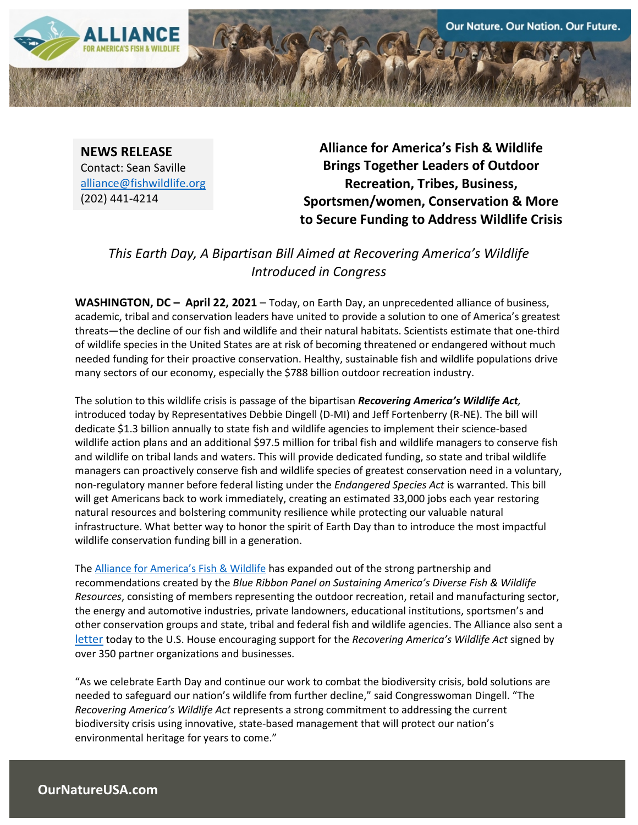

**NEWS RELEASE** Contact: Sean Saville alliance@fishwildlife.org (202) 441-4214

**Alliance for America's Fish & Wildlife Brings Together Leaders of Outdoor Recreation, Tribes, Business, Sportsmen/women, Conservation & More to Secure Funding to Address Wildlife Crisis**

## *This Earth Day, A Bipartisan Bill Aimed at Recovering America's Wildlife Introduced in Congress*

**WASHINGTON, DC – April 22, 2021** – Today, on Earth Day, an unprecedented alliance of business, academic, tribal and conservation leaders have united to provide a solution to one of America's greatest threats—the decline of our fish and wildlife and their natural habitats. Scientists estimate that one-third of wildlife species in the United States are at risk of becoming threatened or endangered without much needed funding for their proactive conservation. Healthy, sustainable fish and wildlife populations drive many sectors of our economy, especially the \$788 billion outdoor recreation industry.

The solution to this wildlife crisis is passage of the bipartisan *Recovering America's Wildlife Act,* introduced today by Representatives Debbie Dingell (D-MI) and Jeff Fortenberry (R-NE). The bill will dedicate \$1.3 billion annually to state fish and wildlife agencies to implement their science-based wildlife action plans and an additional \$97.5 million for tribal fish and wildlife managers to conserve fish and wildlife on tribal lands and waters. This will provide dedicated funding, so state and tribal wildlife managers can proactively conserve fish and wildlife species of greatest conservation need in a voluntary, non-regulatory manner before federal listing under the *Endangered Species Act* is warranted. This bill will get Americans back to work immediately, creating an estimated 33,000 jobs each year restoring natural resources and bolstering community resilience while protecting our valuable natural infrastructure. What better way to honor the spirit of Earth Day than to introduce the most impactful wildlife conservation funding bill in a generation.

The [Alliance for America's Fish & Wildlife](https://ournatureusa.com/) has expanded out of the strong partnership and recommendations created by the *Blue Ribbon Panel on Sustaining America's Diverse Fish & Wildlife Resources*, consisting of members representing the outdoor recreation, retail and manufacturing sector, the energy and automotive industries, private landowners, educational institutions, sportsmen's and other conservation groups and state, tribal and federal fish and wildlife agencies. The Alliance also sent a [letter](https://www.fishwildlife.org/application/files/2716/1903/7047/117th_Recovering_Americas_Wildlife_Act_Coalition_Support_Letter_4.22.pdf) today to the U.S. House encouraging support for the *Recovering America's Wildlife Act* signed by over 350 partner organizations and businesses.

"As we celebrate Earth Day and continue our work to combat the biodiversity crisis, bold solutions are needed to safeguard our nation's wildlife from further decline," said Congresswoman Dingell. "The *Recovering America's Wildlife Act* represents a strong commitment to addressing the current biodiversity crisis using innovative, state-based management that will protect our nation's environmental heritage for years to come."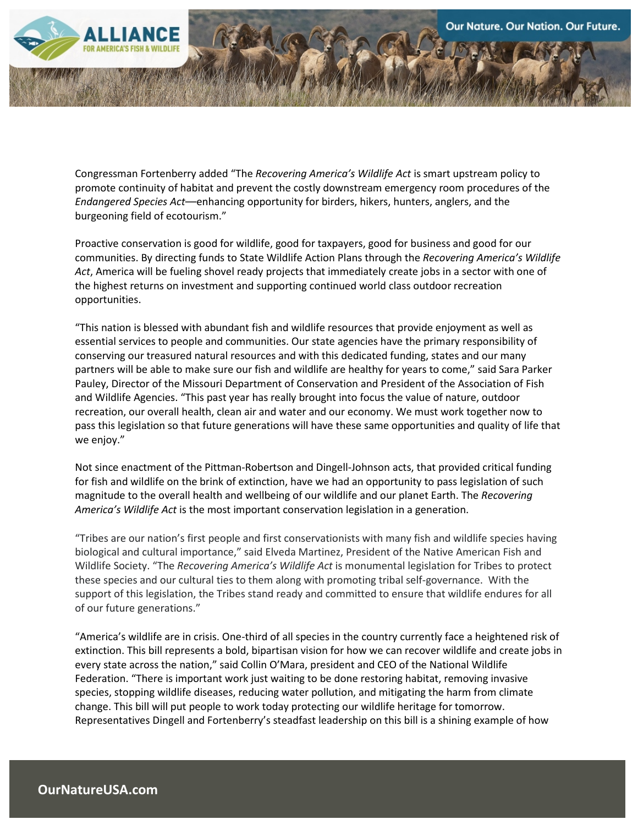

Congressman Fortenberry added "The *Recovering America's Wildlife Act* is smart upstream policy to promote continuity of habitat and prevent the costly downstream emergency room procedures of the *Endangered Species Act*––enhancing opportunity for birders, hikers, hunters, anglers, and the burgeoning field of ecotourism."

Proactive conservation is good for wildlife, good for taxpayers, good for business and good for our communities. By directing funds to State Wildlife Action Plans through the *Recovering America's Wildlife Act*, America will be fueling shovel ready projects that immediately create jobs in a sector with one of the highest returns on investment and supporting continued world class outdoor recreation opportunities.

"This nation is blessed with abundant fish and wildlife resources that provide enjoyment as well as essential services to people and communities. Our state agencies have the primary responsibility of conserving our treasured natural resources and with this dedicated funding, states and our many partners will be able to make sure our fish and wildlife are healthy for years to come," said Sara Parker Pauley, Director of the Missouri Department of Conservation and President of the Association of Fish and Wildlife Agencies. "This past year has really brought into focus the value of nature, outdoor recreation, our overall health, clean air and water and our economy. We must work together now to pass this legislation so that future generations will have these same opportunities and quality of life that we enjoy."

Not since enactment of the Pittman-Robertson and Dingell-Johnson acts, that provided critical funding for fish and wildlife on the brink of extinction, have we had an opportunity to pass legislation of such magnitude to the overall health and wellbeing of our wildlife and our planet Earth. The *Recovering America's Wildlife Act* is the most important conservation legislation in a generation.

"Tribes are our nation's first people and first conservationists with many fish and wildlife species having biological and cultural importance," said Elveda Martinez, President of the Native American Fish and Wildlife Society. "The *Recovering America's Wildlife Act* is monumental legislation for Tribes to protect these species and our cultural ties to them along with promoting tribal self-governance. With the support of this legislation, the Tribes stand ready and committed to ensure that wildlife endures for all of our future generations."

"America's wildlife are in crisis. One-third of all species in the country currently face a heightened risk of extinction. This bill represents a bold, bipartisan vision for how we can recover wildlife and create jobs in every state across the nation," said Collin O'Mara, president and CEO of the National Wildlife Federation. "There is important work just waiting to be done restoring habitat, removing invasive species, stopping wildlife diseases, reducing water pollution, and mitigating the harm from climate change. This bill will put people to work today protecting our wildlife heritage for tomorrow. Representatives Dingell and Fortenberry's steadfast leadership on this bill is a shining example of how